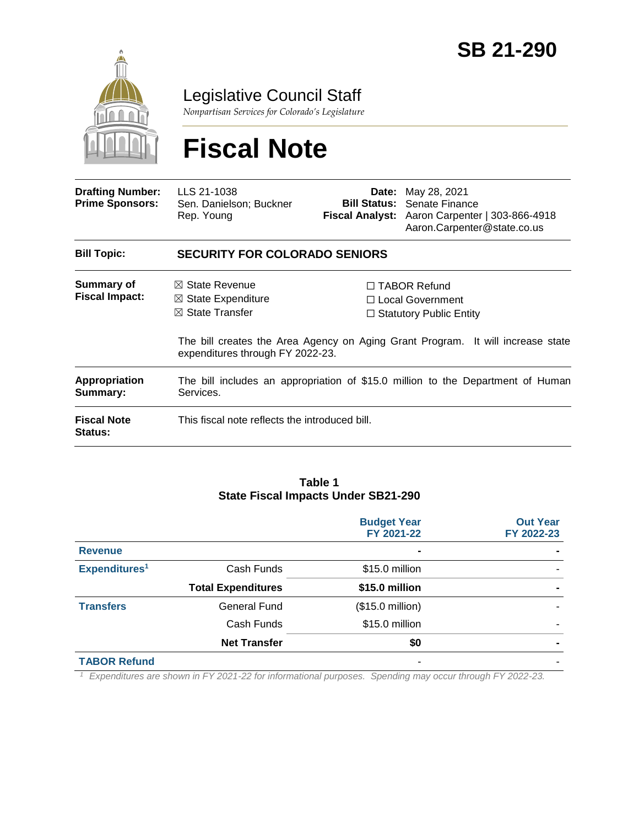

Legislative Council Staff

*Nonpartisan Services for Colorado's Legislature*

# **Fiscal Note**

| <b>Drafting Number:</b><br><b>Prime Sponsors:</b> | LLS 21-1038<br>Sen. Danielson; Buckner<br>Rep. Young                                                                         |  | <b>Date:</b> May 28, 2021<br><b>Bill Status: Senate Finance</b><br>Fiscal Analyst: Aaron Carpenter   303-866-4918<br>Aaron.Carpenter@state.co.us                    |  |  |
|---------------------------------------------------|------------------------------------------------------------------------------------------------------------------------------|--|---------------------------------------------------------------------------------------------------------------------------------------------------------------------|--|--|
| <b>Bill Topic:</b>                                | <b>SECURITY FOR COLORADO SENIORS</b>                                                                                         |  |                                                                                                                                                                     |  |  |
| Summary of<br><b>Fiscal Impact:</b>               | $\boxtimes$ State Revenue<br>$\boxtimes$ State Expenditure<br>$\boxtimes$ State Transfer<br>expenditures through FY 2022-23. |  | $\Box$ TABOR Refund<br>$\Box$ Local Government<br>$\Box$ Statutory Public Entity<br>The bill creates the Area Agency on Aging Grant Program. It will increase state |  |  |
| <b>Appropriation</b><br>Summary:                  | The bill includes an appropriation of \$15.0 million to the Department of Human<br>Services.                                 |  |                                                                                                                                                                     |  |  |
| <b>Fiscal Note</b><br>Status:                     | This fiscal note reflects the introduced bill.                                                                               |  |                                                                                                                                                                     |  |  |

#### **Table 1 State Fiscal Impacts Under SB21-290**

|                           |                           | <b>Budget Year</b><br>FY 2021-22 | <b>Out Year</b><br>FY 2022-23 |
|---------------------------|---------------------------|----------------------------------|-------------------------------|
| <b>Revenue</b>            |                           | $\blacksquare$                   |                               |
| Expenditures <sup>1</sup> | Cash Funds                | \$15.0 million                   |                               |
|                           | <b>Total Expenditures</b> | \$15.0 million                   |                               |
| <b>Transfers</b>          | General Fund              | (\$15.0 million)                 |                               |
|                           | Cash Funds                | \$15.0 million                   |                               |
|                           | <b>Net Transfer</b>       | \$0                              |                               |
| <b>TABOR Refund</b>       |                           |                                  |                               |

*<sup>1</sup> Expenditures are shown in FY 2021-22 for informational purposes. Spending may occur through FY 2022-23.*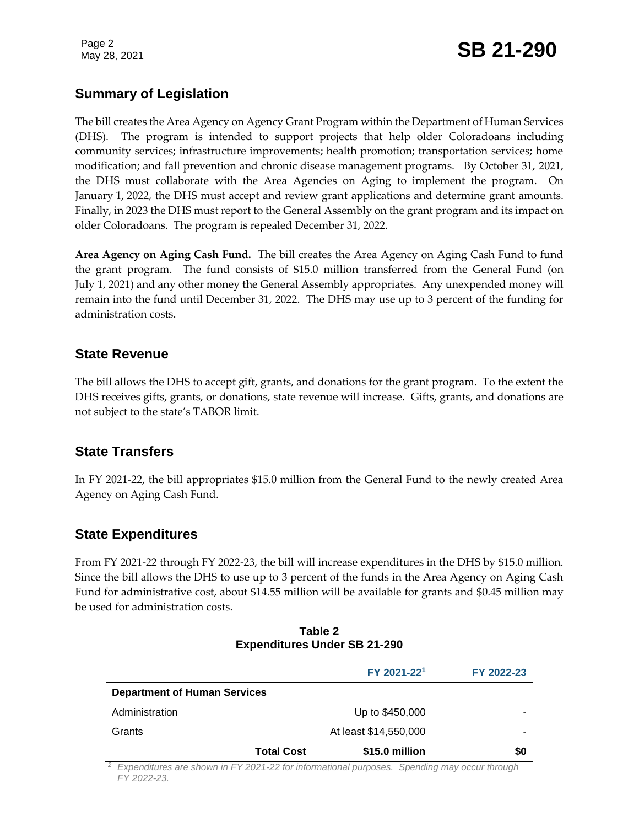Page 2

# Page 2<br>May 28, 2021 **SB 21-290**

## **Summary of Legislation**

The bill creates the Area Agency on Agency Grant Program within the Department of Human Services (DHS). The program is intended to support projects that help older Coloradoans including community services; infrastructure improvements; health promotion; transportation services; home modification; and fall prevention and chronic disease management programs. By October 31, 2021, the DHS must collaborate with the Area Agencies on Aging to implement the program. On January 1, 2022, the DHS must accept and review grant applications and determine grant amounts. Finally, in 2023 the DHS must report to the General Assembly on the grant program and its impact on older Coloradoans. The program is repealed December 31, 2022.

**Area Agency on Aging Cash Fund.** The bill creates the Area Agency on Aging Cash Fund to fund the grant program. The fund consists of \$15.0 million transferred from the General Fund (on July 1, 2021) and any other money the General Assembly appropriates. Any unexpended money will remain into the fund until December 31, 2022. The DHS may use up to 3 percent of the funding for administration costs.

#### **State Revenue**

The bill allows the DHS to accept gift, grants, and donations for the grant program. To the extent the DHS receives gifts, grants, or donations, state revenue will increase. Gifts, grants, and donations are not subject to the state's TABOR limit.

#### **State Transfers**

In FY 2021-22, the bill appropriates \$15.0 million from the General Fund to the newly created Area Agency on Aging Cash Fund.

#### **State Expenditures**

From FY 2021-22 through FY 2022-23, the bill will increase expenditures in the DHS by \$15.0 million. Since the bill allows the DHS to use up to 3 percent of the funds in the Area Agency on Aging Cash Fund for administrative cost, about \$14.55 million will be available for grants and \$0.45 million may be used for administration costs.

|                                     | FY 2021-221           | FY 2022-23 |
|-------------------------------------|-----------------------|------------|
| <b>Department of Human Services</b> |                       |            |
| Administration                      | Up to \$450,000       |            |
| Grants                              | At least \$14,550,000 |            |
| <b>Total Cost</b>                   | \$15.0 million        | \$0        |

#### **Table 2 Expenditures Under SB 21-290**

*<sup>2</sup> Expenditures are shown in FY 2021-22 for informational purposes. Spending may occur through FY 2022-23.*